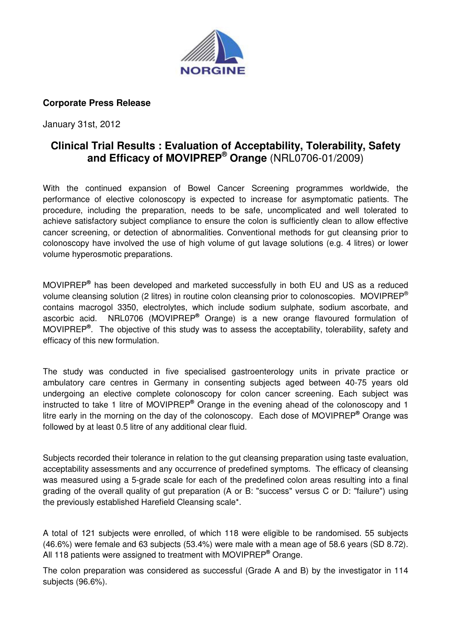

## **Corporate Press Release**

January 31st, 2012

## **Clinical Trial Results : Evaluation of Acceptability, Tolerability, Safety and Efficacy of MOVIPREP® Orange** (NRL0706-01/2009)

With the continued expansion of Bowel Cancer Screening programmes worldwide, the performance of elective colonoscopy is expected to increase for asymptomatic patients. The procedure, including the preparation, needs to be safe, uncomplicated and well tolerated to achieve satisfactory subject compliance to ensure the colon is sufficiently clean to allow effective cancer screening, or detection of abnormalities. Conventional methods for gut cleansing prior to colonoscopy have involved the use of high volume of gut lavage solutions (e.g. 4 litres) or lower volume hyperosmotic preparations.

MOVIPREP**®** has been developed and marketed successfully in both EU and US as a reduced volume cleansing solution (2 litres) in routine colon cleansing prior to colonoscopies. MOVIPREP<sup>®</sup> contains macrogol 3350, electrolytes, which include sodium sulphate, sodium ascorbate, and ascorbic acid. NRL0706 (MOVIPREP**®** Orange) is a new orange flavoured formulation of MOVIPREP**®** . The objective of this study was to assess the acceptability, tolerability, safety and efficacy of this new formulation.

The study was conducted in five specialised gastroenterology units in private practice or ambulatory care centres in Germany in consenting subjects aged between 40-75 years old undergoing an elective complete colonoscopy for colon cancer screening. Each subject was instructed to take 1 litre of MOVIPREP**®** Orange in the evening ahead of the colonoscopy and 1 litre early in the morning on the day of the colonoscopy. Each dose of MOVIPREP**®** Orange was followed by at least 0.5 litre of any additional clear fluid.

Subjects recorded their tolerance in relation to the gut cleansing preparation using taste evaluation, acceptability assessments and any occurrence of predefined symptoms. The efficacy of cleansing was measured using a 5-grade scale for each of the predefined colon areas resulting into a final grading of the overall quality of gut preparation (A or B: "success" versus C or D: "failure") using the previously established Harefield Cleansing scale\*.

A total of 121 subjects were enrolled, of which 118 were eligible to be randomised. 55 subjects (46.6%) were female and 63 subjects (53.4%) were male with a mean age of 58.6 years (SD 8.72). All 118 patients were assigned to treatment with MOVIPREP**®** Orange.

The colon preparation was considered as successful (Grade A and B) by the investigator in 114 subjects (96.6%).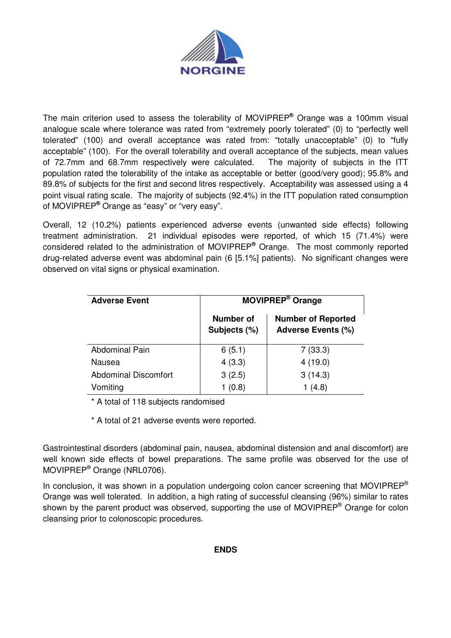

The main criterion used to assess the tolerability of MOVIPREP**®** Orange was a 100mm visual analogue scale where tolerance was rated from "extremely poorly tolerated" (0) to "perfectly well tolerated" (100) and overall acceptance was rated from: "totally unacceptable" (0) to "fully acceptable" (100). For the overall tolerability and overall acceptance of the subjects, mean values of 72.7mm and 68.7mm respectively were calculated. The majority of subjects in the ITT population rated the tolerability of the intake as acceptable or better (good/very good); 95.8% and 89.8% of subjects for the first and second litres respectively. Acceptability was assessed using a 4 point visual rating scale. The majority of subjects (92.4%) in the ITT population rated consumption of MOVIPREP**®** Orange as "easy" or "very easy".

Overall, 12 (10.2%) patients experienced adverse events (unwanted side effects) following treatment administration. 21 individual episodes were reported, of which 15 (71.4%) were considered related to the administration of MOVIPREP **®** Orange. The most commonly reported drug-related adverse event was abdominal pain (6 [5.1%] patients). No significant changes were observed on vital signs or physical examination.

| <b>Adverse Event</b>        | <b>MOVIPREP<sup>®</sup> Orange</b> |                                                        |
|-----------------------------|------------------------------------|--------------------------------------------------------|
|                             | <b>Number of</b><br>Subjects (%)   | <b>Number of Reported</b><br><b>Adverse Events (%)</b> |
| <b>Abdominal Pain</b>       | 6(5.1)                             | 7(33.3)                                                |
| Nausea                      | 4(3.3)                             | 4(19.0)                                                |
| <b>Abdominal Discomfort</b> | 3(2.5)                             | 3(14.3)                                                |
| Vomiting                    | 1(0.8)                             | 1(4.8)                                                 |

\* A total of 118 subjects randomised

\* A total of 21 adverse events were reported.

Gastrointestinal disorders (abdominal pain, nausea, abdominal distension and anal discomfort) are well known side effects of bowel preparations. The same profile was observed for the use of MOVIPREP® Orange (NRL0706).

In conclusion, it was shown in a population undergoing colon cancer screening that MOVIPREP<sup>®</sup> Orange was well tolerated. In addition, a high rating of successful cleansing (96%) similar to rates shown by the parent product was observed, supporting the use of MOVIPREP® Orange for colon cleansing prior to colonoscopic procedures.